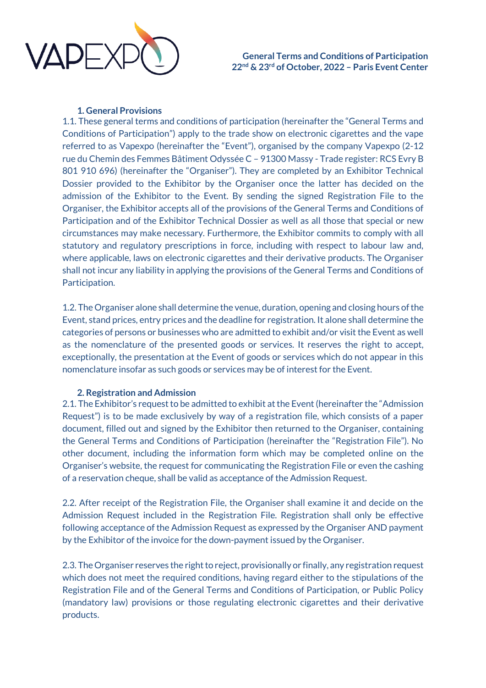

## **1. General Provisions**

1.1. These general terms and conditions of participation (hereinafter the "General Terms and Conditions of Participation") apply to the trade show on electronic cigarettes and the vape referred to as Vapexpo (hereinafter the "Event"), organised by the company Vapexpo (2-12 rue du Chemin des Femmes Bâtiment Odyssée C – 91300 Massy - Trade register: RCS Evry B 801 910 696) (hereinafter the "Organiser"). They are completed by an Exhibitor Technical Dossier provided to the Exhibitor by the Organiser once the latter has decided on the admission of the Exhibitor to the Event. By sending the signed Registration File to the Organiser, the Exhibitor accepts all of the provisions of the General Terms and Conditions of Participation and of the Exhibitor Technical Dossier as well as all those that special or new circumstances may make necessary. Furthermore, the Exhibitor commits to comply with all statutory and regulatory prescriptions in force, including with respect to labour law and, where applicable, laws on electronic cigarettes and their derivative products. The Organiser shall not incur any liability in applying the provisions of the General Terms and Conditions of Participation.

1.2. The Organiser alone shall determine the venue, duration, opening and closing hours of the Event, stand prices, entry prices and the deadline for registration. It alone shall determine the categories of persons or businesses who are admitted to exhibit and/or visit the Event as well as the nomenclature of the presented goods or services. It reserves the right to accept, exceptionally, the presentation at the Event of goods or services which do not appear in this nomenclature insofar as such goods or services may be of interest for the Event.

## **2. Registration and Admission**

2.1. The Exhibitor's request to be admitted to exhibit at the Event (hereinafter the "Admission Request") is to be made exclusively by way of a registration file, which consists of a paper document, filled out and signed by the Exhibitor then returned to the Organiser, containing the General Terms and Conditions of Participation (hereinafter the "Registration File"). No other document, including the information form which may be completed online on the Organiser's website, the request for communicating the Registration File or even the cashing of a reservation cheque, shall be valid as acceptance of the Admission Request.

2.2. After receipt of the Registration File, the Organiser shall examine it and decide on the Admission Request included in the Registration File. Registration shall only be effective following acceptance of the Admission Request as expressed by the Organiser AND payment by the Exhibitor of the invoice for the down-payment issued by the Organiser.

2.3. The Organiser reserves the right to reject, provisionally or finally, any registration request which does not meet the required conditions, having regard either to the stipulations of the Registration File and of the General Terms and Conditions of Participation, or Public Policy (mandatory law) provisions or those regulating electronic cigarettes and their derivative products.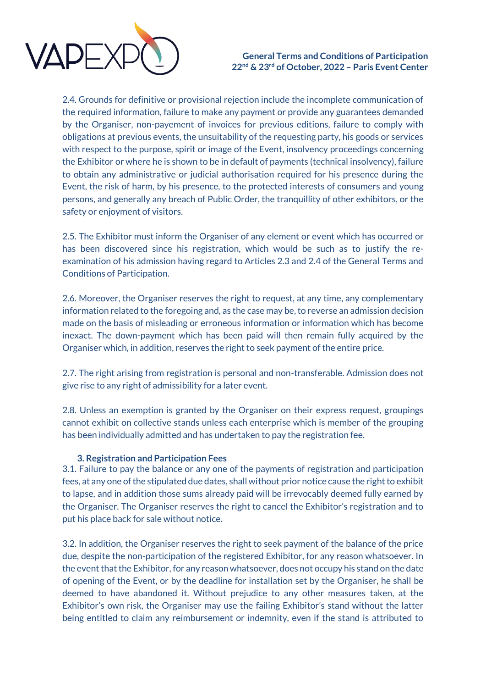

2.4. Grounds for definitive or provisional rejection include the incomplete communication of the required information, failure to make any payment or provide any guarantees demanded by the Organiser, non-payement of invoices for previous editions, failure to comply with obligations at previous events, the unsuitability of the requesting party, his goods or services with respect to the purpose, spirit or image of the Event, insolvency proceedings concerning the Exhibitor or where he is shown to be in default of payments (technical insolvency), failure to obtain any administrative or judicial authorisation required for his presence during the Event, the risk of harm, by his presence, to the protected interests of consumers and young persons, and generally any breach of Public Order, the tranquillity of other exhibitors, or the safety or enjoyment of visitors.

2.5. The Exhibitor must inform the Organiser of any element or event which has occurred or has been discovered since his registration, which would be such as to justify the reexamination of his admission having regard to Articles 2.3 and 2.4 of the General Terms and Conditions of Participation.

2.6. Moreover, the Organiser reserves the right to request, at any time, any complementary information related to the foregoing and, as the case may be, to reverse an admission decision made on the basis of misleading or erroneous information or information which has become inexact. The down-payment which has been paid will then remain fully acquired by the Organiser which, in addition, reserves the right to seek payment of the entire price.

2.7. The right arising from registration is personal and non-transferable. Admission does not give rise to any right of admissibility for a later event.

2.8. Unless an exemption is granted by the Organiser on their express request, groupings cannot exhibit on collective stands unless each enterprise which is member of the grouping has been individually admitted and has undertaken to pay the registration fee.

#### **3. Registration and Participation Fees**

3.1. Failure to pay the balance or any one of the payments of registration and participation fees, at any one of the stipulated due dates, shall without prior notice cause the right to exhibit to lapse, and in addition those sums already paid will be irrevocably deemed fully earned by the Organiser. The Organiser reserves the right to cancel the Exhibitor's registration and to put his place back for sale without notice.

3.2. In addition, the Organiser reserves the right to seek payment of the balance of the price due, despite the non-participation of the registered Exhibitor, for any reason whatsoever. In the event that the Exhibitor, for any reason whatsoever, does not occupy his stand on the date of opening of the Event, or by the deadline for installation set by the Organiser, he shall be deemed to have abandoned it. Without prejudice to any other measures taken, at the Exhibitor's own risk, the Organiser may use the failing Exhibitor's stand without the latter being entitled to claim any reimbursement or indemnity, even if the stand is attributed to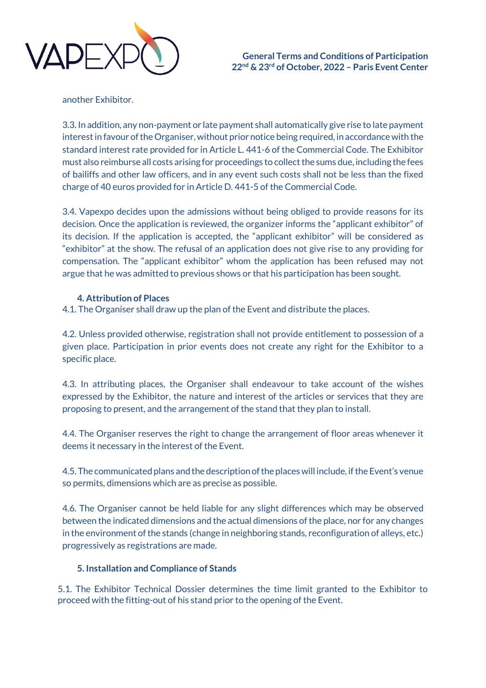

another Exhibitor.

3.3. In addition, any non-payment or late payment shall automatically give rise to late payment interest in favour of the Organiser, without prior notice being required, in accordance with the standard interest rate provided for in Article L. 441-6 of the Commercial Code. The Exhibitor must also reimburse all costs arising for proceedings to collect the sums due, including the fees of bailiffs and other law officers, and in any event such costs shall not be less than the fixed charge of 40 euros provided for in Article D. 441-5 of the Commercial Code.

3.4. Vapexpo decides upon the admissions without being obliged to provide reasons for its decision. Once the application is reviewed, the organizer informs the "applicant exhibitor" of its decision. If the application is accepted, the "applicant exhibitor" will be considered as "exhibitor" at the show. The refusal of an application does not give rise to any providing for compensation. The "applicant exhibitor" whom the application has been refused may not argue that he was admitted to previous shows or that his participation has been sought.

# **4. Attribution of Places**

4.1. The Organiser shall draw up the plan of the Event and distribute the places.

4.2. Unless provided otherwise, registration shall not provide entitlement to possession of a given place. Participation in prior events does not create any right for the Exhibitor to a specific place.

4.3. In attributing places, the Organiser shall endeavour to take account of the wishes expressed by the Exhibitor, the nature and interest of the articles or services that they are proposing to present, and the arrangement of the stand that they plan to install.

4.4. The Organiser reserves the right to change the arrangement of floor areas whenever it deems it necessary in the interest of the Event.

4.5. The communicated plans and the description of the places will include, if the Event's venue so permits, dimensions which are as precise as possible.

4.6. The Organiser cannot be held liable for any slight differences which may be observed between the indicated dimensions and the actual dimensions of the place, nor for any changes in the environment of the stands (change in neighboring stands, reconfiguration of alleys, etc.) progressively as registrations are made.

## **5. Installation and Compliance of Stands**

5.1. The Exhibitor Technical Dossier determines the time limit granted to the Exhibitor to proceed with the fitting-out of his stand prior to the opening of the Event.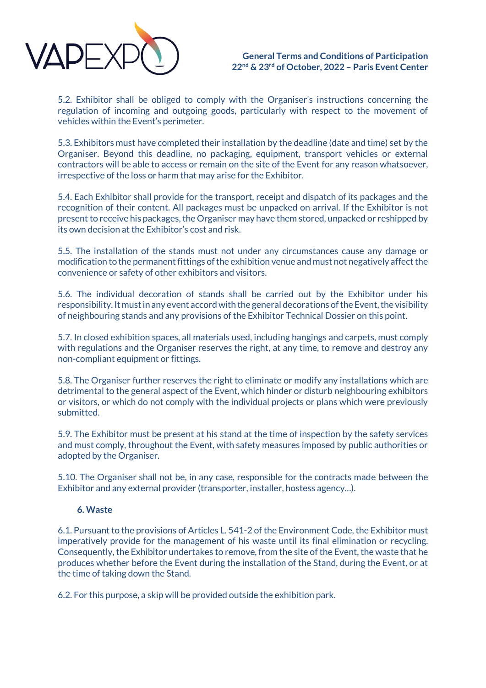

5.2. Exhibitor shall be obliged to comply with the Organiser's instructions concerning the regulation of incoming and outgoing goods, particularly with respect to the movement of vehicles within the Event's perimeter.

5.3. Exhibitors must have completed their installation by the deadline (date and time) set by the Organiser. Beyond this deadline, no packaging, equipment, transport vehicles or external contractors will be able to access or remain on the site of the Event for any reason whatsoever, irrespective of the loss or harm that may arise for the Exhibitor.

5.4. Each Exhibitor shall provide for the transport, receipt and dispatch of its packages and the recognition of their content. All packages must be unpacked on arrival. If the Exhibitor is not present to receive his packages, the Organiser may have them stored, unpacked or reshipped by its own decision at the Exhibitor's cost and risk.

5.5. The installation of the stands must not under any circumstances cause any damage or modification to the permanent fittings of the exhibition venue and must not negatively affect the convenience or safety of other exhibitors and visitors.

5.6. The individual decoration of stands shall be carried out by the Exhibitor under his responsibility. It must in any event accord with the general decorations of the Event, the visibility of neighbouring stands and any provisions of the Exhibitor Technical Dossier on this point.

5.7. In closed exhibition spaces, all materials used, including hangings and carpets, must comply with regulations and the Organiser reserves the right, at any time, to remove and destroy any non-compliant equipment or fittings.

5.8. The Organiser further reserves the right to eliminate or modify any installations which are detrimental to the general aspect of the Event, which hinder or disturb neighbouring exhibitors or visitors, or which do not comply with the individual projects or plans which were previously submitted.

5.9. The Exhibitor must be present at his stand at the time of inspection by the safety services and must comply, throughout the Event, with safety measures imposed by public authorities or adopted by the Organiser.

5.10. The Organiser shall not be, in any case, responsible for the contracts made between the Exhibitor and any external provider (transporter, installer, hostess agency…).

## **6. Waste**

6.1. Pursuant to the provisions of Articles L. 541-2 of the Environment Code, the Exhibitor must imperatively provide for the management of his waste until its final elimination or recycling. Consequently, the Exhibitor undertakes to remove, from the site of the Event, the waste that he produces whether before the Event during the installation of the Stand, during the Event, or at the time of taking down the Stand.

6.2. For this purpose, a skip will be provided outside the exhibition park.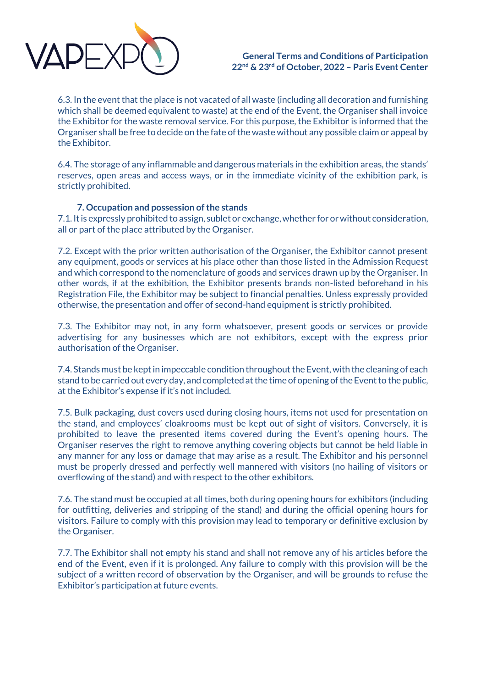

6.3. In the event that the place is not vacated of all waste (including all decoration and furnishing which shall be deemed equivalent to waste) at the end of the Event, the Organiser shall invoice the Exhibitor for the waste removal service. For this purpose, the Exhibitor is informed that the Organiser shall be free to decide on the fate of the waste without any possible claim or appeal by the Exhibitor.

6.4. The storage of any inflammable and dangerous materials in the exhibition areas, the stands' reserves, open areas and access ways, or in the immediate vicinity of the exhibition park, is strictly prohibited.

### **7. Occupation and possession of the stands**

7.1. It is expressly prohibited to assign, sublet or exchange, whether for or without consideration, all or part of the place attributed by the Organiser.

7.2. Except with the prior written authorisation of the Organiser, the Exhibitor cannot present any equipment, goods or services at his place other than those listed in the Admission Request and which correspond to the nomenclature of goods and services drawn up by the Organiser. In other words, if at the exhibition, the Exhibitor presents brands non-listed beforehand in his Registration File, the Exhibitor may be subject to financial penalties. Unless expressly provided otherwise, the presentation and offer of second-hand equipment is strictly prohibited.

7.3. The Exhibitor may not, in any form whatsoever, present goods or services or provide advertising for any businesses which are not exhibitors, except with the express prior authorisation of the Organiser.

7.4. Stands must be kept in impeccable condition throughout the Event, with the cleaning of each stand to be carried out every day, and completed at the time of opening of the Event to the public, at the Exhibitor's expense if it's not included.

7.5. Bulk packaging, dust covers used during closing hours, items not used for presentation on the stand, and employees' cloakrooms must be kept out of sight of visitors. Conversely, it is prohibited to leave the presented items covered during the Event's opening hours. The Organiser reserves the right to remove anything covering objects but cannot be held liable in any manner for any loss or damage that may arise as a result. The Exhibitor and his personnel must be properly dressed and perfectly well mannered with visitors (no hailing of visitors or overflowing of the stand) and with respect to the other exhibitors.

7.6. The stand must be occupied at all times, both during opening hours for exhibitors (including for outfitting, deliveries and stripping of the stand) and during the official opening hours for visitors. Failure to comply with this provision may lead to temporary or definitive exclusion by the Organiser.

7.7. The Exhibitor shall not empty his stand and shall not remove any of his articles before the end of the Event, even if it is prolonged. Any failure to comply with this provision will be the subject of a written record of observation by the Organiser, and will be grounds to refuse the Exhibitor's participation at future events.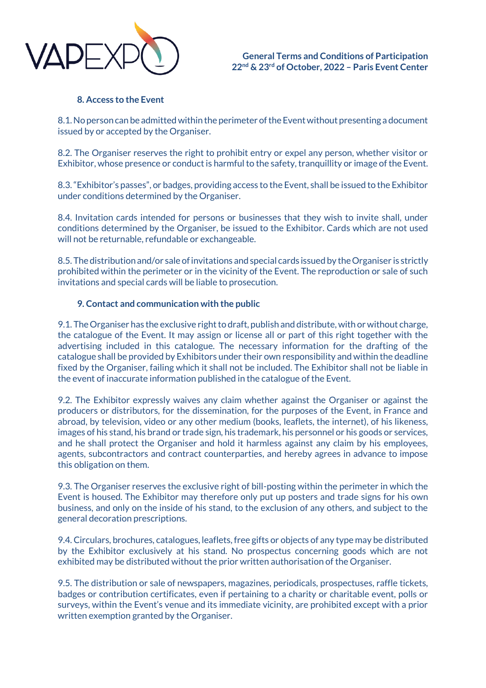

### **8. Access to the Event**

8.1. No person can be admitted within the perimeter of the Event without presenting a document issued by or accepted by the Organiser.

8.2. The Organiser reserves the right to prohibit entry or expel any person, whether visitor or Exhibitor, whose presence or conduct is harmful to the safety, tranquillity or image of the Event.

8.3. "Exhibitor's passes", or badges, providing access to the Event, shall be issued to the Exhibitor under conditions determined by the Organiser.

8.4. Invitation cards intended for persons or businesses that they wish to invite shall, under conditions determined by the Organiser, be issued to the Exhibitor. Cards which are not used will not be returnable, refundable or exchangeable.

8.5. The distribution and/or sale of invitations and special cards issued by the Organiser is strictly prohibited within the perimeter or in the vicinity of the Event. The reproduction or sale of such invitations and special cards will be liable to prosecution.

### **9. Contact and communication with the public**

9.1. The Organiser has the exclusive right to draft, publish and distribute, with or without charge, the catalogue of the Event. It may assign or license all or part of this right together with the advertising included in this catalogue. The necessary information for the drafting of the catalogue shall be provided by Exhibitors under their own responsibility and within the deadline fixed by the Organiser, failing which it shall not be included. The Exhibitor shall not be liable in the event of inaccurate information published in the catalogue of the Event.

9.2. The Exhibitor expressly waives any claim whether against the Organiser or against the producers or distributors, for the dissemination, for the purposes of the Event, in France and abroad, by television, video or any other medium (books, leaflets, the internet), of his likeness, images of his stand, his brand or trade sign, his trademark, his personnel or his goods or services, and he shall protect the Organiser and hold it harmless against any claim by his employees, agents, subcontractors and contract counterparties, and hereby agrees in advance to impose this obligation on them.

9.3. The Organiser reserves the exclusive right of bill-posting within the perimeter in which the Event is housed. The Exhibitor may therefore only put up posters and trade signs for his own business, and only on the inside of his stand, to the exclusion of any others, and subject to the general decoration prescriptions.

9.4. Circulars, brochures, catalogues, leaflets, free gifts or objects of any type may be distributed by the Exhibitor exclusively at his stand. No prospectus concerning goods which are not exhibited may be distributed without the prior written authorisation of the Organiser.

9.5. The distribution or sale of newspapers, magazines, periodicals, prospectuses, raffle tickets, badges or contribution certificates, even if pertaining to a charity or charitable event, polls or surveys, within the Event's venue and its immediate vicinity, are prohibited except with a prior written exemption granted by the Organiser.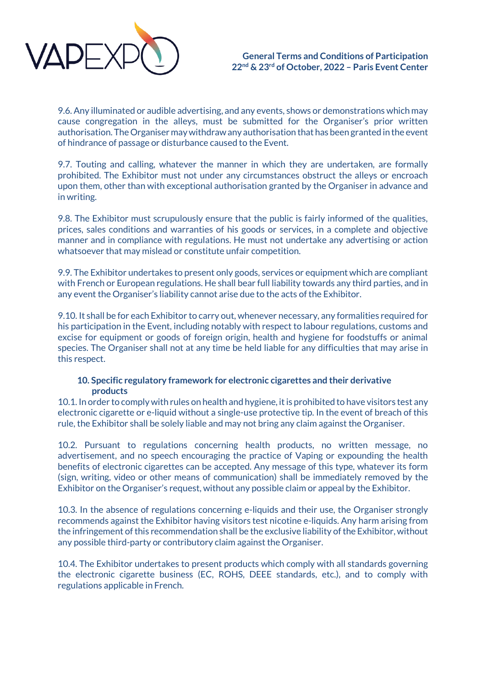

9.6. Any illuminated or audible advertising, and any events, shows or demonstrations which may cause congregation in the alleys, must be submitted for the Organiser's prior written authorisation. The Organiser may withdraw any authorisation that has been granted in the event of hindrance of passage or disturbance caused to the Event.

9.7. Touting and calling, whatever the manner in which they are undertaken, are formally prohibited. The Exhibitor must not under any circumstances obstruct the alleys or encroach upon them, other than with exceptional authorisation granted by the Organiser in advance and in writing.

9.8. The Exhibitor must scrupulously ensure that the public is fairly informed of the qualities, prices, sales conditions and warranties of his goods or services, in a complete and objective manner and in compliance with regulations. He must not undertake any advertising or action whatsoever that may mislead or constitute unfair competition.

9.9. The Exhibitor undertakes to present only goods, services or equipment which are compliant with French or European regulations. He shall bear full liability towards any third parties, and in any event the Organiser's liability cannot arise due to the acts of the Exhibitor.

9.10. It shall be for each Exhibitor to carry out, whenever necessary, any formalities required for his participation in the Event, including notably with respect to labour regulations, customs and excise for equipment or goods of foreign origin, health and hygiene for foodstuffs or animal species. The Organiser shall not at any time be held liable for any difficulties that may arise in this respect.

## **10. Specific regulatory framework for electronic cigarettes and their derivative products**

10.1. In order to comply with rules on health and hygiene, it is prohibited to have visitors test any electronic cigarette or e-liquid without a single-use protective tip. In the event of breach of this rule, the Exhibitor shall be solely liable and may not bring any claim against the Organiser.

10.2. Pursuant to regulations concerning health products, no written message, no advertisement, and no speech encouraging the practice of Vaping or expounding the health benefits of electronic cigarettes can be accepted. Any message of this type, whatever its form (sign, writing, video or other means of communication) shall be immediately removed by the Exhibitor on the Organiser's request, without any possible claim or appeal by the Exhibitor.

10.3. In the absence of regulations concerning e-liquids and their use, the Organiser strongly recommends against the Exhibitor having visitors test nicotine e-liquids. Any harm arising from the infringement of this recommendation shall be the exclusive liability of the Exhibitor, without any possible third-party or contributory claim against the Organiser.

10.4. The Exhibitor undertakes to present products which comply with all standards governing the electronic cigarette business (EC, ROHS, DEEE standards, etc.), and to comply with regulations applicable in French.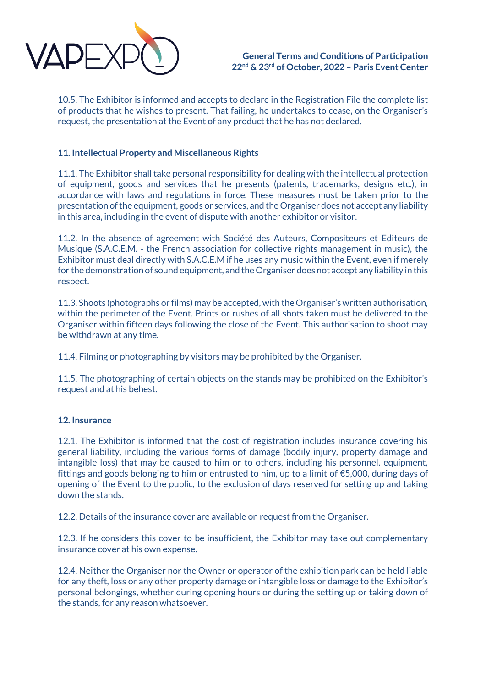

10.5. The Exhibitor is informed and accepts to declare in the Registration File the complete list of products that he wishes to present. That failing, he undertakes to cease, on the Organiser's request, the presentation at the Event of any product that he has not declared.

# **11. Intellectual Property and Miscellaneous Rights**

11.1. The Exhibitor shall take personal responsibility for dealing with the intellectual protection of equipment, goods and services that he presents (patents, trademarks, designs etc.), in accordance with laws and regulations in force. These measures must be taken prior to the presentation of the equipment, goods or services, and the Organiser does not accept any liability in this area, including in the event of dispute with another exhibitor or visitor.

11.2. In the absence of agreement with Société des Auteurs, Compositeurs et Editeurs de Musique (S.A.C.E.M. - the French association for collective rights management in music), the Exhibitor must deal directly with S.A.C.E.M if he uses any music within the Event, even if merely for the demonstration of sound equipment, and the Organiser does not accept any liability in this respect.

11.3. Shoots (photographs or films) may be accepted, with the Organiser's written authorisation, within the perimeter of the Event. Prints or rushes of all shots taken must be delivered to the Organiser within fifteen days following the close of the Event. This authorisation to shoot may be withdrawn at any time.

11.4. Filming or photographing by visitors may be prohibited by the Organiser.

11.5. The photographing of certain objects on the stands may be prohibited on the Exhibitor's request and at his behest.

## **12. Insurance**

12.1. The Exhibitor is informed that the cost of registration includes insurance covering his general liability, including the various forms of damage (bodily injury, property damage and intangible loss) that may be caused to him or to others, including his personnel, equipment, fittings and goods belonging to him or entrusted to him, up to a limit of €5,000, during days of opening of the Event to the public, to the exclusion of days reserved for setting up and taking down the stands.

12.2. Details of the insurance cover are available on request from the Organiser.

12.3. If he considers this cover to be insufficient, the Exhibitor may take out complementary insurance cover at his own expense.

12.4. Neither the Organiser nor the Owner or operator of the exhibition park can be held liable for any theft, loss or any other property damage or intangible loss or damage to the Exhibitor's personal belongings, whether during opening hours or during the setting up or taking down of the stands, for any reason whatsoever.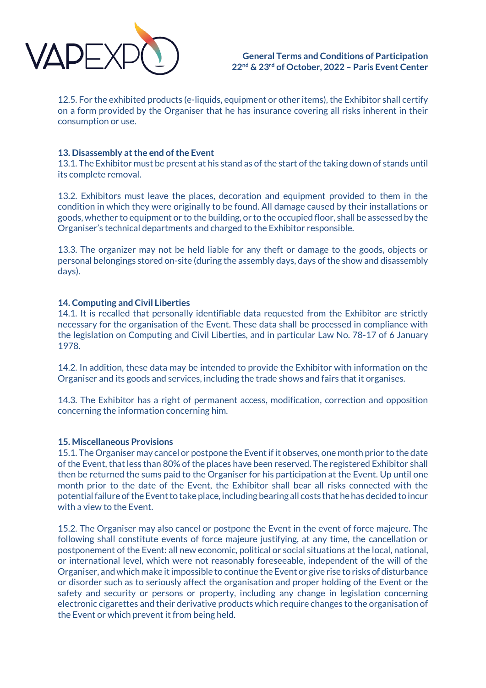

12.5. For the exhibited products (e-liquids, equipment or other items), the Exhibitor shall certify on a form provided by the Organiser that he has insurance covering all risks inherent in their consumption or use.

## **13. Disassembly at the end of the Event**

13.1. The Exhibitor must be present at his stand as of the start of the taking down of stands until its complete removal.

13.2. Exhibitors must leave the places, decoration and equipment provided to them in the condition in which they were originally to be found. All damage caused by their installations or goods, whether to equipment or to the building, or to the occupied floor, shall be assessed by the Organiser's technical departments and charged to the Exhibitor responsible.

13.3. The organizer may not be held liable for any theft or damage to the goods, objects or personal belongings stored on-site (during the assembly days, days of the show and disassembly days).

### **14. Computing and Civil Liberties**

14.1. It is recalled that personally identifiable data requested from the Exhibitor are strictly necessary for the organisation of the Event. These data shall be processed in compliance with the legislation on Computing and Civil Liberties, and in particular Law No. 78-17 of 6 January 1978.

14.2. In addition, these data may be intended to provide the Exhibitor with information on the Organiser and its goods and services, including the trade shows and fairs that it organises.

14.3. The Exhibitor has a right of permanent access, modification, correction and opposition concerning the information concerning him.

#### **15. Miscellaneous Provisions**

15.1. The Organiser may cancel or postpone the Event if it observes, one month prior to the date of the Event, that less than 80% of the places have been reserved. The registered Exhibitor shall then be returned the sums paid to the Organiser for his participation at the Event. Up until one month prior to the date of the Event, the Exhibitor shall bear all risks connected with the potential failure of the Event to take place, including bearing all costs that he has decided to incur with a view to the Event.

15.2. The Organiser may also cancel or postpone the Event in the event of force majeure. The following shall constitute events of force majeure justifying, at any time, the cancellation or postponement of the Event: all new economic, political or social situations at the local, national, or international level, which were not reasonably foreseeable, independent of the will of the Organiser, and which make it impossible to continue the Event or give rise to risks of disturbance or disorder such as to seriously affect the organisation and proper holding of the Event or the safety and security or persons or property, including any change in legislation concerning electronic cigarettes and their derivative products which require changes to the organisation of the Event or which prevent it from being held.